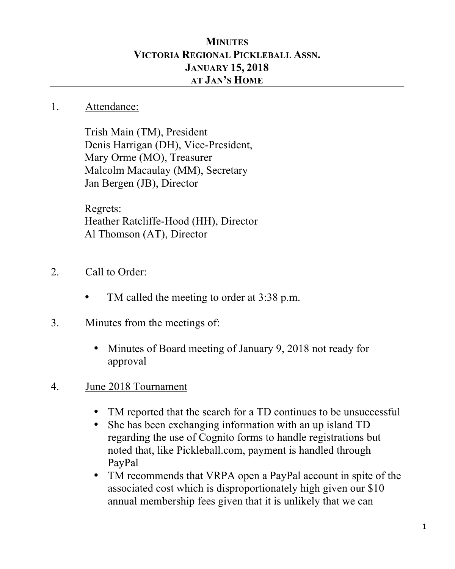## **MINUTES VICTORIA REGIONAL PICKLEBALL ASSN. JANUARY 15, 2018 AT JAN'S HOME**

## 1. Attendance:

Trish Main (TM), President Denis Harrigan (DH), Vice-President, Mary Orme (MO), Treasurer Malcolm Macaulay (MM), Secretary Jan Bergen (JB), Director

Regrets: Heather Ratcliffe-Hood (HH), Director Al Thomson (AT), Director

- 2. Call to Order:
	- TM called the meeting to order at 3:38 p.m.
- 3. Minutes from the meetings of:
	- Minutes of Board meeting of January 9, 2018 not ready for approval
- 4. June 2018 Tournament
	- TM reported that the search for a TD continues to be unsuccessful
	- She has been exchanging information with an up island TD regarding the use of Cognito forms to handle registrations but noted that, like Pickleball.com, payment is handled through PayPal
	- TM recommends that VRPA open a PayPal account in spite of the associated cost which is disproportionately high given our \$10 annual membership fees given that it is unlikely that we can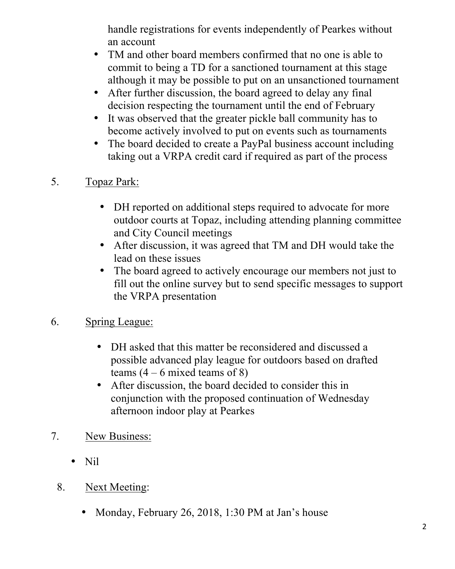handle registrations for events independently of Pearkes without an account

- TM and other board members confirmed that no one is able to commit to being a TD for a sanctioned tournament at this stage although it may be possible to put on an unsanctioned tournament
- After further discussion, the board agreed to delay any final decision respecting the tournament until the end of February
- It was observed that the greater pickle ball community has to become actively involved to put on events such as tournaments
- The board decided to create a PayPal business account including taking out a VRPA credit card if required as part of the process
- 5. Topaz Park:
	- DH reported on additional steps required to advocate for more outdoor courts at Topaz, including attending planning committee and City Council meetings
	- After discussion, it was agreed that TM and DH would take the lead on these issues
	- The board agreed to actively encourage our members not just to fill out the online survey but to send specific messages to support the VRPA presentation
- 6. Spring League:
	- DH asked that this matter be reconsidered and discussed a possible advanced play league for outdoors based on drafted teams  $(4 - 6$  mixed teams of 8)
	- After discussion, the board decided to consider this in conjunction with the proposed continuation of Wednesday afternoon indoor play at Pearkes
- 7. New Business:
	- Nil
	- 8. Next Meeting:
		- Monday, February 26, 2018, 1:30 PM at Jan's house